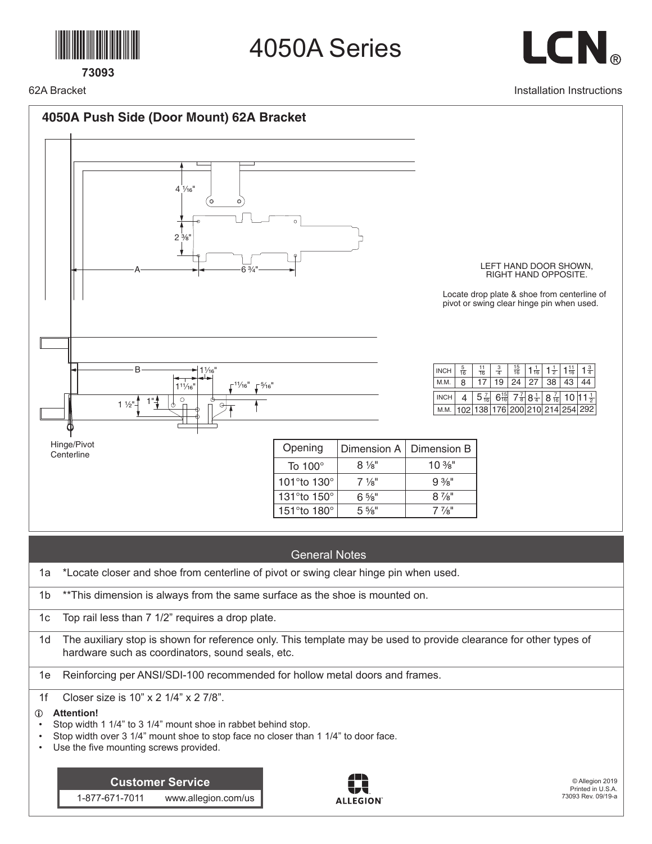

**73093**

4050A Series



Installation Instructions

62A Bracket